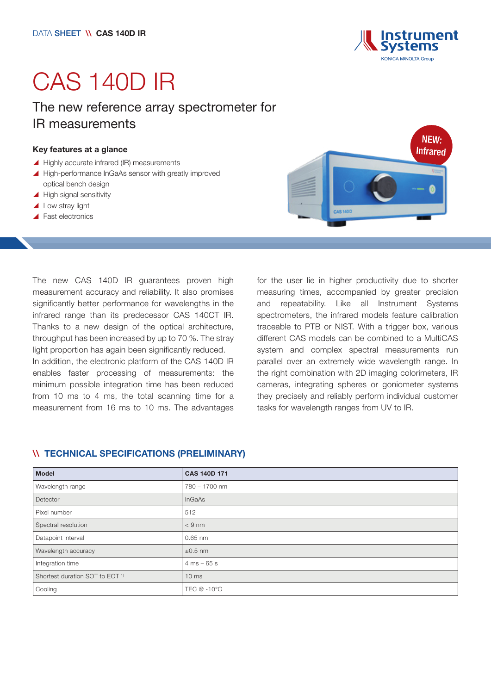

# CAS 140D IR

## The new reference array spectrometer for IR measurements

#### Key features at a glance

- $\blacktriangle$  Highly accurate infrared (IR) measurements
- ▲ High-performance InGaAs sensor with greatly improved optical bench design
- $\blacktriangle$  High signal sensitivity
- $\triangle$  Low stray light
- $\blacktriangle$  Fast electronics

NEW: **Infrared** 

The new CAS 140D IR guarantees proven high measurement accuracy and reliability. It also promises significantly better performance for wavelengths in the infrared range than its predecessor CAS 140CT IR. Thanks to a new design of the optical architecture, throughput has been increased by up to 70 %. The stray light proportion has again been significantly reduced.

In addition, the electronic platform of the CAS 140D IR enables faster processing of measurements: the minimum possible integration time has been reduced from 10 ms to 4 ms, the total scanning time for a measurement from 16 ms to 10 ms. The advantages for the user lie in higher productivity due to shorter measuring times, accompanied by greater precision and repeatability. Like all Instrument Systems spectrometers, the infrared models feature calibration traceable to PTB or NIST. With a trigger box, various different CAS models can be combined to a MultiCAS system and complex spectral measurements run parallel over an extremely wide wavelength range. In the right combination with 2D imaging colorimeters, IR cameras, integrating spheres or goniometer systems they precisely and reliably perform individual customer tasks for wavelength ranges from UV to IR.

#### \\ TECHNICAL SPECIFICATIONS (PRELIMINARY)

| <b>Model</b>                               | <b>CAS 140D 171</b> |
|--------------------------------------------|---------------------|
| Wavelength range                           | 780 - 1700 nm       |
| Detector                                   | InGaAs              |
| Pixel number                               | 512                 |
| Spectral resolution                        | $< 9$ nm            |
| Datapoint interval                         | $0.65$ nm           |
| Wavelength accuracy                        | $\pm 0.5$ nm        |
| Integration time                           | $4 ms - 65 s$       |
| Shortest duration SOT to EOT <sup>1)</sup> | 10 <sub>ms</sub>    |
| Cooling                                    | TEC @ -10°C         |